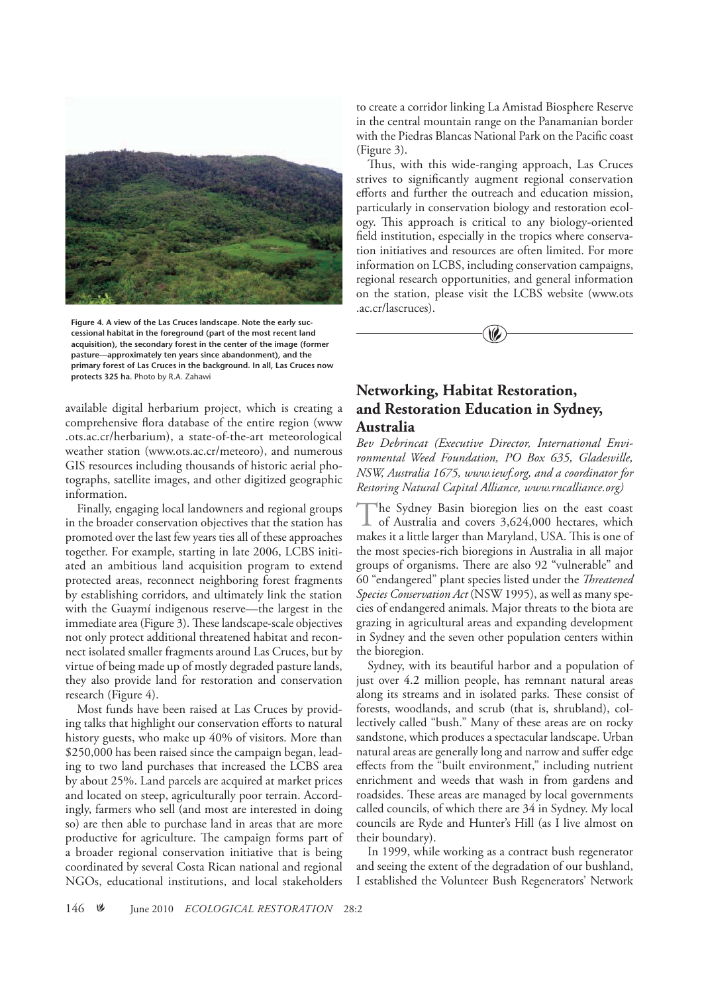

**Figure 4. A view of the Las Cruces landscape. Note the early successional habitat in the foreground (part of the most recent land acquisition), the secondary forest in the center of the image (former pasture—approximately ten years since abandonment), and the primary forest of Las Cruces in the background. In all, Las Cruces now protects 325 ha.** Photo by R.A. Zahawi

available digital herbarium project, which is creating a comprehensive flora database of the entire region (www .ots.ac.cr/herbarium), a state-of-the-art meteorological weather station (www.ots.ac.cr/meteoro), and numerous GIS resources including thousands of historic aerial photographs, satellite images, and other digitized geographic information.

Finally, engaging local landowners and regional groups in the broader conservation objectives that the station has promoted over the last few years ties all of these approaches together. For example, starting in late 2006, LCBS initiated an ambitious land acquisition program to extend protected areas, reconnect neighboring forest fragments by establishing corridors, and ultimately link the station with the Guaymí indigenous reserve—the largest in the immediate area (Figure 3). These landscape-scale objectives not only protect additional threatened habitat and reconnect isolated smaller fragments around Las Cruces, but by virtue of being made up of mostly degraded pasture lands, they also provide land for restoration and conservation research (Figure 4).

Most funds have been raised at Las Cruces by providing talks that highlight our conservation efforts to natural history guests, who make up 40% of visitors. More than \$250,000 has been raised since the campaign began, leading to two land purchases that increased the LCBS area by about 25%. Land parcels are acquired at market prices and located on steep, agriculturally poor terrain. Accordingly, farmers who sell (and most are interested in doing so) are then able to purchase land in areas that are more productive for agriculture. The campaign forms part of a broader regional conservation initiative that is being coordinated by several Costa Rican national and regional NGOs, educational institutions, and local stakeholders

to create a corridor linking La Amistad Biosphere Reserve in the central mountain range on the Panamanian border with the Piedras Blancas National Park on the Pacific coast (Figure 3).

Thus, with this wide-ranging approach, Las Cruces strives to significantly augment regional conservation efforts and further the outreach and education mission, particularly in conservation biology and restoration ecology. This approach is critical to any biology-oriented field institution, especially in the tropics where conservation initiatives and resources are often limited. For more information on LCBS, including conservation campaigns, regional research opportunities, and general information on the station, please visit the LCBS website (www.ots .ac.cr/lascruces).



## **Networking, Habitat Restoration, and Restoration Education in Sydney, Australia**

*Bev Debrincat (Executive Director, International Environmental Weed Foundation, PO Box 635, Gladesville, NSW, Australia 1675, www.iewf.org, and a coordinator for Restoring Natural Capital Alliance, www.rncalliance.org)*

The Sydney Basin bioregion lies on the east coast of Australia and covers 3,624,000 hectares, which makes it a little larger than Maryland, USA. This is one of the most species-rich bioregions in Australia in all major groups of organisms. There are also 92 "vulnerable" and 60 "endangered" plant species listed under the *Threatened Species Conservation Act* (NSW 1995), as well as many species of endangered animals. Major threats to the biota are grazing in agricultural areas and expanding development in Sydney and the seven other population centers within the bioregion.

Sydney, with its beautiful harbor and a population of just over 4.2 million people, has remnant natural areas along its streams and in isolated parks. These consist of forests, woodlands, and scrub (that is, shrubland), collectively called "bush." Many of these areas are on rocky sandstone, which produces a spectacular landscape. Urban natural areas are generally long and narrow and suffer edge effects from the "built environment," including nutrient enrichment and weeds that wash in from gardens and roadsides. These areas are managed by local governments called councils, of which there are 34 in Sydney. My local councils are Ryde and Hunter's Hill (as I live almost on their boundary).

In 1999, while working as a contract bush regenerator and seeing the extent of the degradation of our bushland, I established the Volunteer Bush Regenerators' Network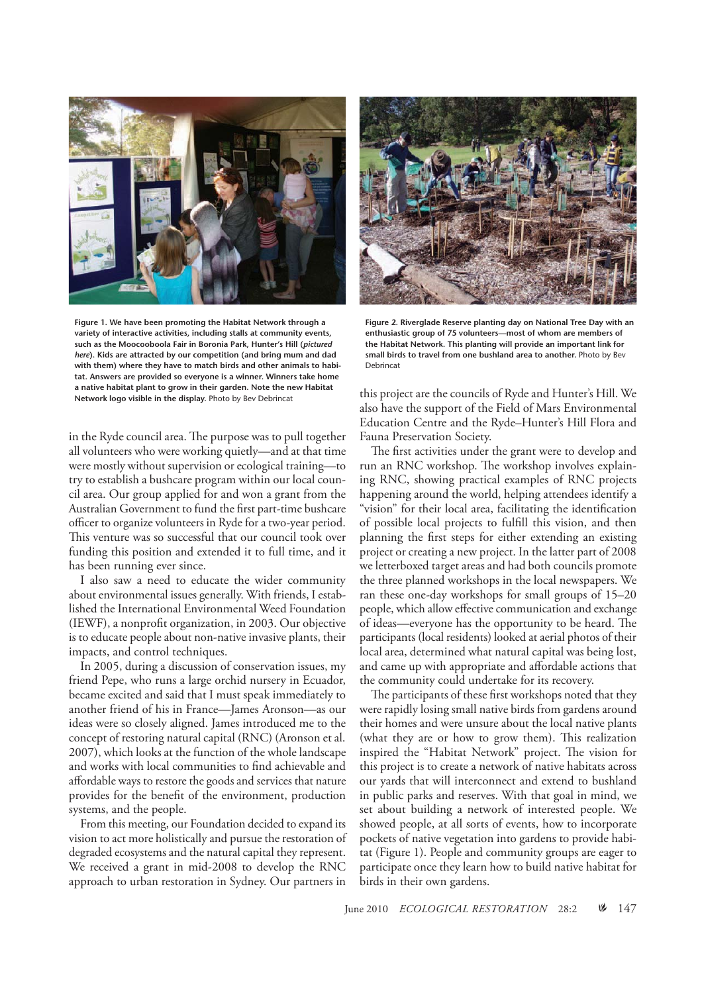

**Figure 1. We have been promoting the Habitat Network through a variety of interactive activities, including stalls at community events, such as the Moocooboola Fair in Boronia Park, Hunter's Hill (***pictured here***). Kids are attracted by our competition (and bring mum and dad with them) where they have to match birds and other animals to habitat. Answers are provided so everyone is a winner. Winners take home a native habitat plant to grow in their garden. Note the new Habitat Network logo visible in the display.** Photo by Bev Debrincat

in the Ryde council area. The purpose was to pull together all volunteers who were working quietly—and at that time were mostly without supervision or ecological training—to try to establish a bushcare program within our local council area. Our group applied for and won a grant from the Australian Government to fund the first part-time bushcare officer to organize volunteers in Ryde for a two-year period. This venture was so successful that our council took over funding this position and extended it to full time, and it has been running ever since.

I also saw a need to educate the wider community about environmental issues generally. With friends, I established the International Environmental Weed Foundation (IEWF), a nonprofit organization, in 2003. Our objective is to educate people about non-native invasive plants, their impacts, and control techniques.

In 2005, during a discussion of conservation issues, my friend Pepe, who runs a large orchid nursery in Ecuador, became excited and said that I must speak immediately to another friend of his in France—James Aronson—as our ideas were so closely aligned. James introduced me to the concept of restoring natural capital (RNC) (Aronson et al. 2007), which looks at the function of the whole landscape and works with local communities to find achievable and affordable ways to restore the goods and services that nature provides for the benefit of the environment, production systems, and the people.

From this meeting, our Foundation decided to expand its vision to act more holistically and pursue the restoration of degraded ecosystems and the natural capital they represent. We received a grant in mid-2008 to develop the RNC approach to urban restoration in Sydney. Our partners in



**Figure 2. Riverglade Reserve planting day on National Tree Day with an enthusiastic group of 75 volunteers—most of whom are members of the Habitat Network. This planting will provide an important link for small birds to travel from one bushland area to another.** Photo by Bev Debrincat

this project are the councils of Ryde and Hunter's Hill. We also have the support of the Field of Mars Environmental Education Centre and the Ryde–Hunter's Hill Flora and Fauna Preservation Society.

The first activities under the grant were to develop and run an RNC workshop. The workshop involves explaining RNC, showing practical examples of RNC projects happening around the world, helping attendees identify a "vision" for their local area, facilitating the identification of possible local projects to fulfill this vision, and then planning the first steps for either extending an existing project or creating a new project. In the latter part of 2008 we letterboxed target areas and had both councils promote the three planned workshops in the local newspapers. We ran these one-day workshops for small groups of 15–20 people, which allow effective communication and exchange of ideas—everyone has the opportunity to be heard. The participants (local residents) looked at aerial photos of their local area, determined what natural capital was being lost, and came up with appropriate and affordable actions that the community could undertake for its recovery.

The participants of these first workshops noted that they were rapidly losing small native birds from gardens around their homes and were unsure about the local native plants (what they are or how to grow them). This realization inspired the "Habitat Network" project. The vision for this project is to create a network of native habitats across our yards that will interconnect and extend to bushland in public parks and reserves. With that goal in mind, we set about building a network of interested people. We showed people, at all sorts of events, how to incorporate pockets of native vegetation into gardens to provide habitat (Figure 1). People and community groups are eager to participate once they learn how to build native habitat for birds in their own gardens.